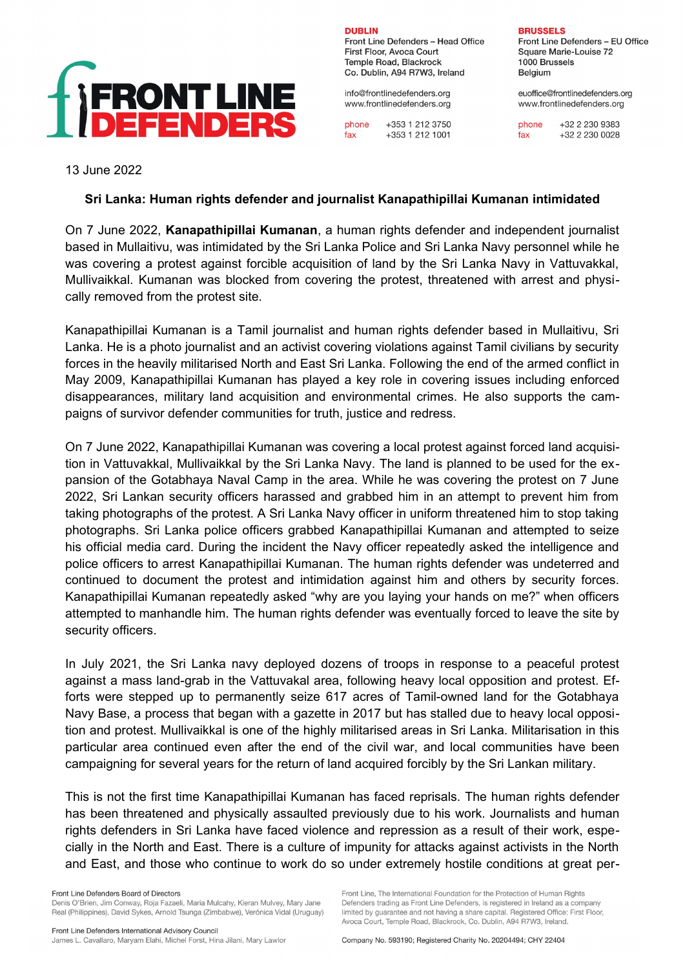

**DURLIN** Front Line Defenders - Head Office First Floor, Avoca Court Temple Road, Blackrock Co. Dublin, A94 R7W3, Ireland

info@frontlinedefenders.org www.frontlinedefenders.org

phone +353 1 212 3750 +353 1 212 1001 fax

**BRUSSELS** 

Front Line Defenders - EU Office Square Marie-Louise 72 1000 Brussels **Belaium** 

euoffice@frontlinedefenders.org www.frontlinedefenders.org

+32 2 230 9383 phone +32 2 230 0028 fax

13 June 2022

## **Sri Lanka: Human rights defender and journalist Kanapathipillai Kumanan intimidated**

On 7 June 2022, **Kanapathipillai Kumanan**, a human rights defender and independent journalist based in Mullaitivu, was intimidated by the Sri Lanka Police and Sri Lanka Navy personnel while he was covering a protest against forcible acquisition of land by the Sri Lanka Navy in Vattuvakkal, Mullivaikkal. Kumanan was blocked from covering the protest, threatened with arrest and physically removed from the protest site.

 [Kanapathipillai Kumanan i](https://www.frontlinedefenders.org/en/profile/kanapathipillai-kumanan)s a Tamil journalist and human rights defender based in Mullaitivu, Sri Lanka. He is a photo journalist and an activist covering violations against Tamil civilians by security forces in the heavily militarised North and East Sri Lanka. Following the end of the armed conflict in May 2009, Kanapathipillai Kumanan has played a key role in covering issues including enforced disappearances, military land acquisition and environmental crimes. He also supports the campaigns of survivor defender communities for truth, justice and redress.

On 7 June 2022, Kanapathipillai Kumanan was covering a local protest against forced land acquisition in Vattuvakkal, Mullivaikkal by the Sri Lanka Navy. The land is planned to be used for the expansion of the Gotabhaya Naval Camp in the area. While he was covering the protest on 7 June 2022, Sri Lankan security officers harassed and grabbed him in an attempt to prevent him from taking photographs of the protest. A Sri Lanka Navy officer in uniform threatened him to stop taking photographs. Sri Lanka police officers grabbed Kanapathipillai Kumanan and attempted to seize his official media card. During the incident the Navy officer repeatedly asked the intelligence and police officers to arrest Kanapathipillai Kumanan. The human rights defender was undeterred and continued to document the protest and intimidation against him and others by security forces. Kanapathipillai Kumanan repeatedly asked "why are you laying your hands on me?" when officers attempted to manhandle him. The human rights defender was eventually [forced t](https://twitter.com/JDSLanka/status/1534107709745897473?ref_src=twsrc%5Etfw%7Ctwcamp%5Etweetembed%7Ctwterm%5E1534107709745897473%7Ctwgr%5E%7Ctwcon%5Es1_&ref_url=https%3A%2F%2Fwww.tamilguardian.com%2Fcontent%2Fwhy-are-you-laying-your-hands-me-sri-lankan-security-forces-grab-tamil-journalist)o leave the site by security officers.

In July 2021, the Sri Lanka navy deployed dozens of troops in response to a peaceful protest against a mass land-grab in the Vattuvakal area, following heavy local opposition and protest. Efforts were stepped up to permanently seize 617 acres of Tamil-owned land for the Gotabhaya Navy Base, a process that began with a gazette in 2017 but has stalled due to heavy local opposition and protest. Mullivaikkal is one of the highly militarised areas in Sri Lanka. Militarisation in this particular area continued even after the end of the civil war, and local communities have been campaigning for several years for the return of land acquired forcibly by the Sri Lankan military.

This is not the first time Kanapathipillai Kumanan has faced reprisals. The human rights defender has been threatened and physically assaulted previously due to his work. Journalists and human rights defenders in Sri Lanka have faced violence and repression as a result of their work, especially in the North and East. There is a culture of impunity for attacks against activists in the North and East, and those who continue to work do so under extremely hostile conditions at great per-

Front Line, The International Foundation for the Protection of Human Rights

Defenders trading as Front Line Defenders, is registered in Ireland as a company

limited by guarantee and not having a share capital. Registered Office: First Floor,